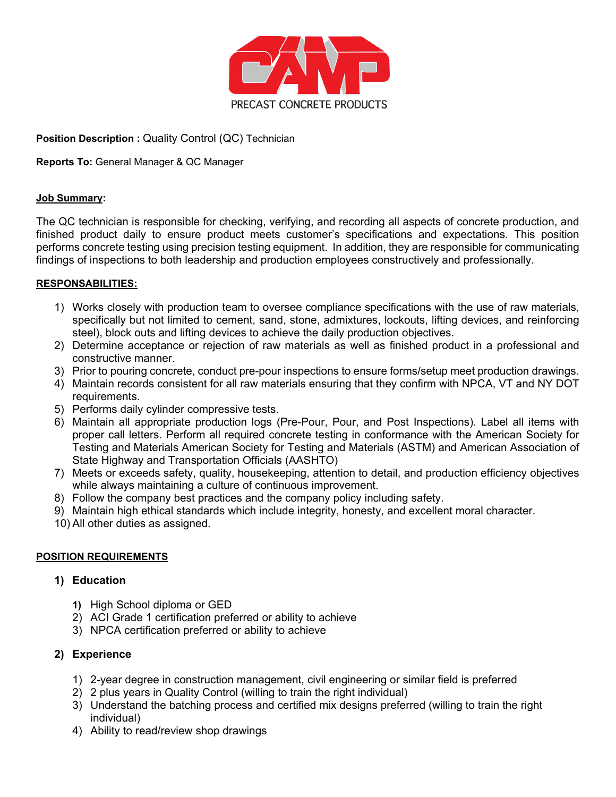

### **Position Description :** Quality Control (QC) Technician

### **Reports To:** General Manager & QC Manager

#### **Job Summary:**

The QC technician is responsible for checking, verifying, and recording all aspects of concrete production, and finished product daily to ensure product meets customer's specifications and expectations. This position performs concrete testing using precision testing equipment. In addition, they are responsible for communicating findings of inspections to both leadership and production employees constructively and professionally.

#### **RESPONSABILITIES:**

- 1) Works closely with production team to oversee compliance specifications with the use of raw materials, specifically but not limited to cement, sand, stone, admixtures, lockouts, lifting devices, and reinforcing steel), block outs and lifting devices to achieve the daily production objectives.
- 2) Determine acceptance or rejection of raw materials as well as finished product in a professional and constructive manner.
- 3) Prior to pouring concrete, conduct pre-pour inspections to ensure forms/setup meet production drawings.
- 4) Maintain records consistent for all raw materials ensuring that they confirm with NPCA, VT and NY DOT requirements.
- 5) Performs daily cylinder compressive tests.
- 6) Maintain all appropriate production logs (Pre-Pour, Pour, and Post Inspections). Label all items with proper call letters. Perform all required concrete testing in conformance with the American Society for Testing and Materials American Society for Testing and Materials (ASTM) and American Association of State Highway and Transportation Officials (AASHTO)
- 7) Meets or exceeds safety, quality, housekeeping, attention to detail, and production efficiency objectives while always maintaining a culture of continuous improvement.
- 8) Follow the company best practices and the company policy including safety.
- 9) Maintain high ethical standards which include integrity, honesty, and excellent moral character.
- 10) All other duties as assigned.

#### **POSITION REQUIREMENTS**

### **1) Education**

- **1)** High School diploma or GED
- 2) ACI Grade 1 certification preferred or ability to achieve
- 3) NPCA certification preferred or ability to achieve

### **2) Experience**

- 1) 2-year degree in construction management, civil engineering or similar field is preferred
- 2) 2 plus years in Quality Control (willing to train the right individual)
- 3) Understand the batching process and certified mix designs preferred (willing to train the right individual)
- 4) Ability to read/review shop drawings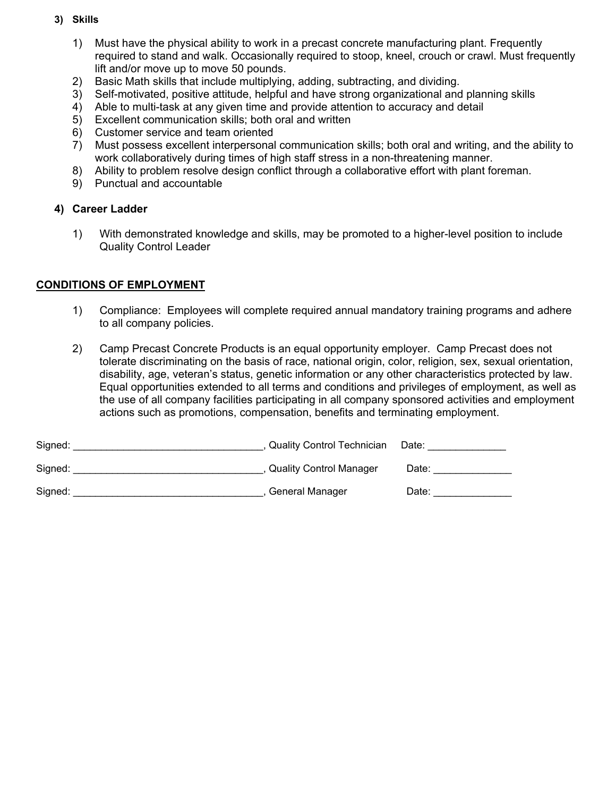### **3) Skills**

- 1) Must have the physical ability to work in a precast concrete manufacturing plant. Frequently required to stand and walk. Occasionally required to stoop, kneel, crouch or crawl. Must frequently lift and/or move up to move 50 pounds.
- 2) Basic Math skills that include multiplying, adding, subtracting, and dividing.
- 3) Self-motivated, positive attitude, helpful and have strong organizational and planning skills
- 4) Able to multi-task at any given time and provide attention to accuracy and detail
- 5) Excellent communication skills; both oral and written
- 6) Customer service and team oriented
- 7) Must possess excellent interpersonal communication skills; both oral and writing, and the ability to work collaboratively during times of high staff stress in a non-threatening manner.
- 8) Ability to problem resolve design conflict through a collaborative effort with plant foreman.
- 9) Punctual and accountable

#### **4) Career Ladder**

1) With demonstrated knowledge and skills, may be promoted to a higher-level position to include Quality Control Leader

### **CONDITIONS OF EMPLOYMENT**

- 1) Compliance: Employees will complete required annual mandatory training programs and adhere to all company policies.
- 2) Camp Precast Concrete Products is an equal opportunity employer. Camp Precast does not tolerate discriminating on the basis of race, national origin, color, religion, sex, sexual orientation, disability, age, veteran's status, genetic information or any other characteristics protected by law. Equal opportunities extended to all terms and conditions and privileges of employment, as well as the use of all company facilities participating in all company sponsored activities and employment actions such as promotions, compensation, benefits and terminating employment.

| Signed: | <b>Quality Control Technician</b> | Date: |
|---------|-----------------------------------|-------|
| Signed: | <b>Quality Control Manager</b>    | Date: |
| Signed: | General Manager                   | Date: |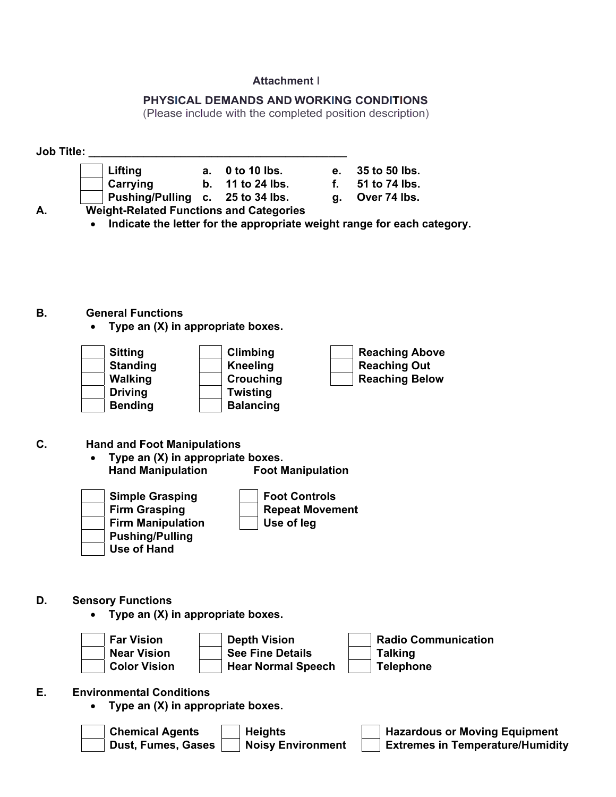# **Attachment** I

# **PHYSICAL DEMANDS AND WORKING CONDITIONS**

(Please include with the completed position description)

**Job Title: \_\_\_\_\_\_\_\_\_\_\_\_\_\_\_\_\_\_\_\_\_\_\_\_\_\_\_\_\_\_\_\_\_\_\_\_\_\_\_\_\_\_** 

- **Lifting a. 0 to 10 lbs. e. 35 to 50 lbs. Carrying b. 11 to 24 lbs. f. 51 to 74 lbs. Pushing/Pulling c. 25 to 34 lbs.** 
	- -
		-

**A. Weight-Related Functions and Categories** 

**Indicate the letter for the appropriate weight range for each category.** 

**B. General Functions** 

**Type an (X) in appropriate boxes.** 

| <b>Sitting</b>  | Climbing         | <b>Reaching Above</b> |
|-----------------|------------------|-----------------------|
| <b>Standing</b> | <b>Kneeling</b>  | <b>Reaching Out</b>   |
| <b>Walking</b>  | Crouching        | <b>Reaching Below</b> |
| <b>Driving</b>  | <b>Twisting</b>  |                       |
| <b>Bending</b>  | <b>Balancing</b> |                       |

# **C. Hand and Foot Manipulations**

 **Type an (X) in appropriate boxes. Hand Manipulation Foot Manipulation** 



- **D. Sensory Functions** 
	- **Type an (X) in appropriate boxes.**



# **E. Environmental Conditions**

**Type an (X) in appropriate boxes.** 

| <b>Chemical Agents</b> | <b>Heights</b>           | Hazardous or Moving Equipment           |
|------------------------|--------------------------|-----------------------------------------|
| Dust, Fumes, Gases     | <b>Noisy Environment</b> | <b>Extremes in Temperature/Humidity</b> |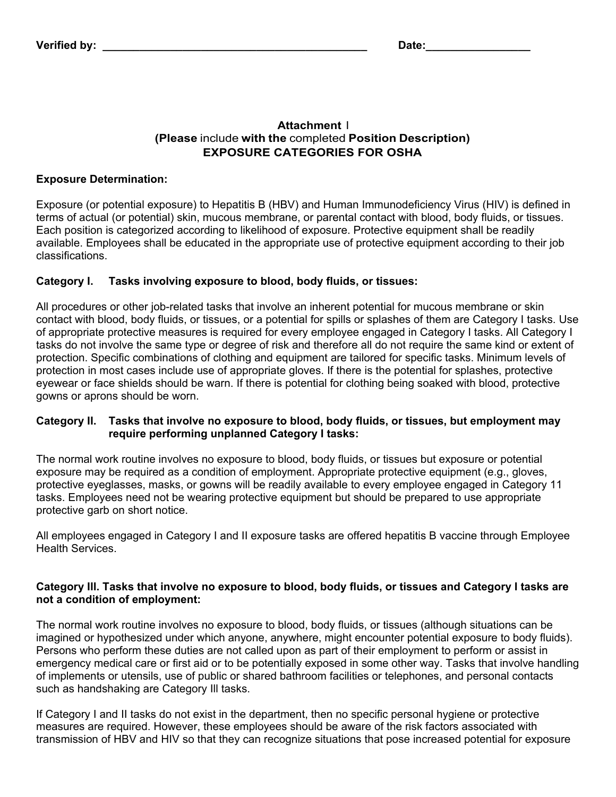### **Attachment** I **(Please** include **with the** completed **Position Description) EXPOSURE CATEGORIES FOR OSHA**

## **Exposure Determination:**

Exposure (or potential exposure) to Hepatitis B (HBV) and Human Immunodeficiency Virus (HIV) is defined in terms of actual (or potential) skin, mucous membrane, or parental contact with blood, body fluids, or tissues. Each position is categorized according to likelihood of exposure. Protective equipment shall be readily available. Employees shall be educated in the appropriate use of protective equipment according to their job classifications.

# **Category I. Tasks involving exposure to blood, body fluids, or tissues:**

All procedures or other job-related tasks that involve an inherent potential for mucous membrane or skin contact with blood, body fluids, or tissues, or a potential for spills or splashes of them are Category I tasks. Use of appropriate protective measures is required for every employee engaged in Category I tasks. All Category I tasks do not involve the same type or degree of risk and therefore all do not require the same kind or extent of protection. Specific combinations of clothing and equipment are tailored for specific tasks. Minimum levels of protection in most cases include use of appropriate gloves. If there is the potential for splashes, protective eyewear or face shields should be warn. If there is potential for clothing being soaked with blood, protective gowns or aprons should be worn.

### **Category II. Tasks that involve no exposure to blood, body fluids, or tissues, but employment may require performing unplanned Category I tasks:**

The normal work routine involves no exposure to blood, body fluids, or tissues but exposure or potential exposure may be required as a condition of employment. Appropriate protective equipment (e.g., gloves, protective eyeglasses, masks, or gowns will be readily available to every employee engaged in Category 11 tasks. Employees need not be wearing protective equipment but should be prepared to use appropriate protective garb on short notice.

All employees engaged in Category I and II exposure tasks are offered hepatitis B vaccine through Employee Health Services.

# **Category Ill. Tasks that involve no exposure to blood, body fluids, or tissues and Category I tasks are not a condition of employment:**

The normal work routine involves no exposure to blood, body fluids, or tissues (although situations can be imagined or hypothesized under which anyone, anywhere, might encounter potential exposure to body fluids). Persons who perform these duties are not called upon as part of their employment to perform or assist in emergency medical care or first aid or to be potentially exposed in some other way. Tasks that involve handling of implements or utensils, use of public or shared bathroom facilities or telephones, and personal contacts such as handshaking are Category Ill tasks.

If Category I and II tasks do not exist in the department, then no specific personal hygiene or protective measures are required. However, these employees should be aware of the risk factors associated with transmission of HBV and HIV so that they can recognize situations that pose increased potential for exposure